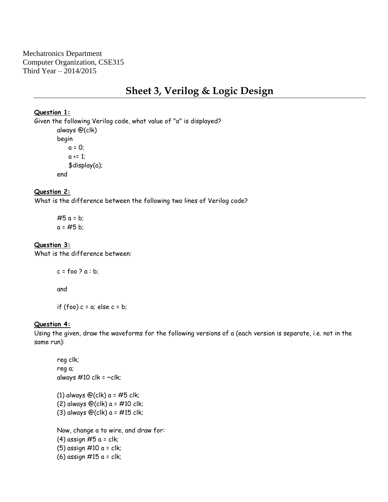Mechatronics Department Computer Organization, CSE315 Third Year – 2014/2015

# **Sheet 3, Verilog & Logic Design**

#### **Question 1:**

Given the following Verilog code, what value of "a" is displayed? always @(clk) begin  $a = 0$ ;  $a \le 1$ ; \$display(a); end

#### **Question 2:**

What is the difference between the following two lines of Verilog code?

 $#5 a = b;$  $a = #5 b$ ;

## **Question 3:**

What is the difference between:

```
c = foo 2a : b;
```
and

if (foo)  $c = a$ ; else  $c = b$ ;

## **Question 4:**

Using the given, draw the waveforms for the following versions of a (each version is separate, i.e. not in the same run):

reg clk; reg a; always  $\#10$  clk =  $\sim$ clk; (1) always  $\mathfrak{O}(\mathsf{clk})$  a = #5 clk; (2) always  $\mathcal{O}(c\mathsf{I}\mathsf{k})$  a = #10 clk; (3) always  $\mathcal{Q}$ (clk) a = #15 clk; Now, change a to wire, and draw for: (4) assign  $#5$  a = clk; (5) assign  $\#10$  a = clk; (6) assign  $\#15$  a = clk;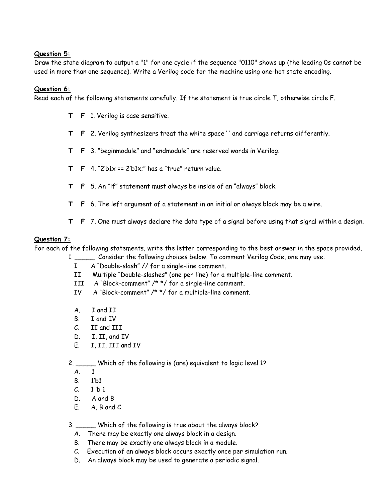## **Question 5:**

Draw the state diagram to output a "1" for one cycle if the sequence "0110" shows up (the leading 0s cannot be used in more than one sequence). Write a Verilog code for the machine using one-hot state encoding.

## **Question 6:**

Read each of the following statements carefully. If the statement is true circle T, otherwise circle F.

- **T F** 1. Verilog is case sensitive.
- **T F** 2. Verilog synthesizers treat the white space ' ' and carriage returns differently.
- **T F** 3. "beginmodule" and "endmodule" are reserved words in Verilog.
- **T**  $\bf{F}$  4. "2'b1x == 2'b1x;" has a "true" return value.
- **T F** 5. An "if" statement must always be inside of an "always" block.
- **T F** 6. The left argument of a statement in an initial or always block may be a wire.
- **T F** 7. One must always declare the data type of a signal before using that signal within a design.

#### **Question 7:**

For each of the following statements, write the letter corresponding to the best answer in the space provided.

1. \_\_\_\_\_ Consider the following choices below. To comment Verilog Code, one may use:

- I A "Double-slash" // for a single-line comment.
- II Multiple "Double-slashes" (one per line) for a multiple-line comment.
- III A "Block-comment" /\* \*/ for a single-line comment.
- IV A "Block-comment" /\* \*/ for a multiple-line comment.
- A. I and II
- B. I and IV
- C. II and III
- D. I, II, and IV
- E. I, II, III and IV

2. Which of the following is (are) equivalent to logic level 1?

- A. 1
- B. 1'b1
- $C. 1 b 1$
- D. A and B
- E. A, B and C

3. \_\_\_\_\_ Which of the following is true about the always block?

- A. There may be exactly one always block in a design.
- B. There may be exactly one always block in a module.
- C. Execution of an always block occurs exactly once per simulation run.
- D. An always block may be used to generate a periodic signal.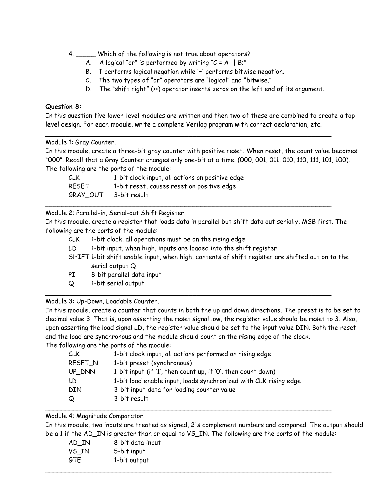- 4. Which of the following is not true about operators?
	- A. A logical "or" is performed by writing " $C = A \mid B;$ "
	- B. '!' performs logical negation while '~' performs bitwise negation.
	- C. The two types of "or" operators are "logical" and "bitwise."
	- D. The "shift right" (>>) operator inserts zeros on the left end of its argument.

#### **Question 8:**

In this question five lower-level modules are written and then two of these are combined to create a toplevel design. For each module, write a complete Verilog program with correct declaration, etc.

\_\_\_\_\_\_\_\_\_\_\_\_\_\_\_\_\_\_\_\_\_\_\_\_\_\_\_\_\_\_\_\_\_\_\_\_\_\_\_\_\_\_\_\_\_\_\_\_\_\_\_\_\_\_\_\_\_\_\_\_\_\_\_\_\_\_\_\_\_\_\_\_

Module 1: Gray Counter.

In this module, create a three-bit gray counter with positive reset. When reset, the count value becomes "000". Recall that a Gray Counter changes only one-bit at a time. (000, 001, 011, 010, 110, 111, 101, 100). The following are the ports of the module:

| CLK.     | 1-bit clock input, all actions on positive edge |
|----------|-------------------------------------------------|
| RESET    | 1-bit reset, causes reset on positive edge      |
| GRAY OUT | 3-bit result                                    |

Module 2: Parallel-in, Serial-out Shift Register.

In this module, create a register that loads data in parallel but shift data out serially, MSB first. The following are the ports of the module:

\_\_\_\_\_\_\_\_\_\_\_\_\_\_\_\_\_\_\_\_\_\_\_\_\_\_\_\_\_\_\_\_\_\_\_\_\_\_\_\_\_\_\_\_\_\_\_\_\_\_\_\_\_\_\_\_\_\_\_\_\_\_\_\_\_\_\_\_\_\_\_\_

\_\_\_\_\_\_\_\_\_\_\_\_\_\_\_\_\_\_\_\_\_\_\_\_\_\_\_\_\_\_\_\_\_\_\_\_\_\_\_\_\_\_\_\_\_\_\_\_\_\_\_\_\_\_\_\_\_\_\_\_\_\_\_\_\_\_\_\_\_\_\_\_

- CLK 1-bit clock, all operations must be on the rising edge
- LD 1-bit input, when high, inputs are loaded into the shift register
- SHIFT 1-bit shift enable input, when high, contents of shift register are shifted out on to the serial output Q
- PI 8-bit parallel data input
- Q 1-bit serial output

Module 3: Up-Down, Loadable Counter.

In this module, create a counter that counts in both the up and down directions. The preset is to be set to decimal value 3. That is, upon asserting the reset signal low, the register value should be reset to 3. Also, upon asserting the load signal LD, the register value should be set to the input value DIN. Both the reset and the load are synchronous and the module should count on the rising edge of the clock. The following are the ports of the module:

| CLK        | 1-bit clock input, all actions performed on rising edge          |
|------------|------------------------------------------------------------------|
| RESET_N    | 1-bit preset (synchronous)                                       |
| UP_DNN     | 1-bit input (if '1', then count up, if '0', then count down)     |
| LD         | 1-bit load enable input, loads synchronized with CLK rising edge |
| <b>DIN</b> | 3-bit input data for loading counter value                       |
| Q          | 3-bit result                                                     |
|            |                                                                  |

Module 4: Magnitude Comparator.

In this module, two inputs are treated as signed, 2's complement numbers and compared. The output should be a 1 if the AD\_IN is greater than or equal to VS\_IN. The following are the ports of the module:

| AD_IN      | 8-bit data input |
|------------|------------------|
| VS_IN      | 5-bit input      |
| <b>GTE</b> | 1-bit output     |
|            |                  |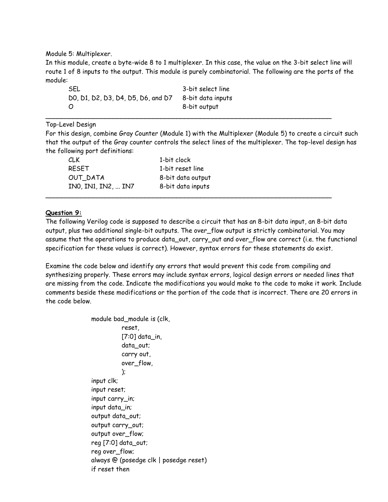Module 5: Multiplexer.

In this module, create a byte-wide 8 to 1 multiplexer. In this case, the value on the 3-bit select line will route 1 of 8 inputs to the output. This module is purely combinatorial. The following are the ports of the module:

| SEL                                | 3-bit select line |
|------------------------------------|-------------------|
| DO, D1, D2, D3, D4, D5, D6, and D7 | 8-bit data inputs |
| Ο                                  | 8-bit output      |

Top-Level Design

For this design, combine Gray Counter (Module 1) with the Multiplexer (Module 5) to create a circuit such that the output of the Gray counter controls the select lines of the multiplexer. The top-level design has the following port definitions:

\_\_\_\_\_\_\_\_\_\_\_\_\_\_\_\_\_\_\_\_\_\_\_\_\_\_\_\_\_\_\_\_\_\_\_\_\_\_\_\_\_\_\_\_\_\_\_\_\_\_\_\_\_\_\_\_\_\_\_\_\_\_\_\_\_\_\_\_\_\_\_\_

\_\_\_\_\_\_\_\_\_\_\_\_\_\_\_\_\_\_\_\_\_\_\_\_\_\_\_\_\_\_\_\_\_\_\_\_\_\_\_\_\_\_\_\_\_\_\_\_\_\_\_\_\_\_\_\_\_\_\_\_\_\_\_\_\_\_\_\_\_\_\_\_

| CLK.                | 1-bit clock       |
|---------------------|-------------------|
| <b>RESET</b>        | 1-bit reset line  |
| OUT DATA            | 8-bit data output |
| INO, IN1, IN2,  IN7 | 8-bit data inputs |

## **Question 9:**

The following Verilog code is supposed to describe a circuit that has an 8-bit data input, an 8-bit data output, plus two additional single-bit outputs. The over\_flow output is strictly combinatorial. You may assume that the operations to produce data\_out, carry\_out and over\_flow are correct (i.e. the functional specification for these values is correct). However, syntax errors for these statements do exist.

Examine the code below and identify any errors that would prevent this code from compiling and synthesizing properly. These errors may include syntax errors, logical design errors or needed lines that are missing from the code. Indicate the modifications you would make to the code to make it work. Include comments beside these modifications or the portion of the code that is incorrect. There are 20 errors in the code below.

> module bad\_module is (clk, reset, [7:0] data\_in, data\_out; carry out, over flow. ); input clk; input reset; input carry\_in; input data\_in; output data\_out; output carry\_out; output over\_flow; reg [7:0] data\_out; reg over\_flow; always @ (posedge clk | posedge reset) if reset then